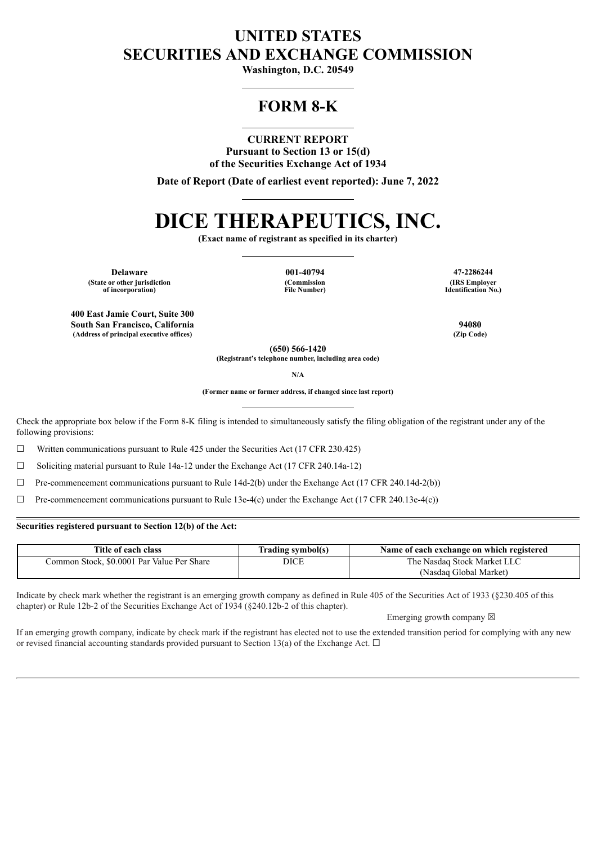# **UNITED STATES SECURITIES AND EXCHANGE COMMISSION**

**Washington, D.C. 20549**

# **FORM 8-K**

## **CURRENT REPORT**

**Pursuant to Section 13 or 15(d) of the Securities Exchange Act of 1934**

**Date of Report (Date of earliest event reported): June 7, 2022**

# **DICE THERAPEUTICS, INC.**

**(Exact name of registrant as specified in its charter)**

**(Commission File Number)**

**Delaware 001-40794 47-2286244 (State or other jurisdiction of incorporation)**

**400 East Jamie Court, Suite 300 South San Francisco, California 94080 (Address of principal executive offices) (Zip Code)**

**(IRS Employer Identification No.)**

**(650) 566-1420**

**(Registrant's telephone number, including area code)**

**N/A**

**(Former name or former address, if changed since last report)**

Check the appropriate box below if the Form 8-K filing is intended to simultaneously satisfy the filing obligation of the registrant under any of the following provisions:

 $\Box$  Written communications pursuant to Rule 425 under the Securities Act (17 CFR 230.425)

☐ Soliciting material pursuant to Rule 14a-12 under the Exchange Act (17 CFR 240.14a-12)

 $\Box$  Pre-commencement communications pursuant to Rule 14d-2(b) under the Exchange Act (17 CFR 240.14d-2(b))

 $\Box$  Pre-commencement communications pursuant to Rule 13e-4(c) under the Exchange Act (17 CFR 240.13e-4(c))

#### **Securities registered pursuant to Section 12(b) of the Act:**

| Title of each class                        | Trading symbol(s) | Name of each exchange on which registered |
|--------------------------------------------|-------------------|-------------------------------------------|
| Common Stock, \$0,0001 Par Value Per Share | DICE              | The Nasdag Stock Market LLC               |
|                                            |                   | (Nasdaq Global Market)                    |

Indicate by check mark whether the registrant is an emerging growth company as defined in Rule 405 of the Securities Act of 1933 (§230.405 of this chapter) or Rule 12b-2 of the Securities Exchange Act of 1934 (§240.12b-2 of this chapter).

Emerging growth company  $\boxtimes$ 

If an emerging growth company, indicate by check mark if the registrant has elected not to use the extended transition period for complying with any new or revised financial accounting standards provided pursuant to Section 13(a) of the Exchange Act.  $\Box$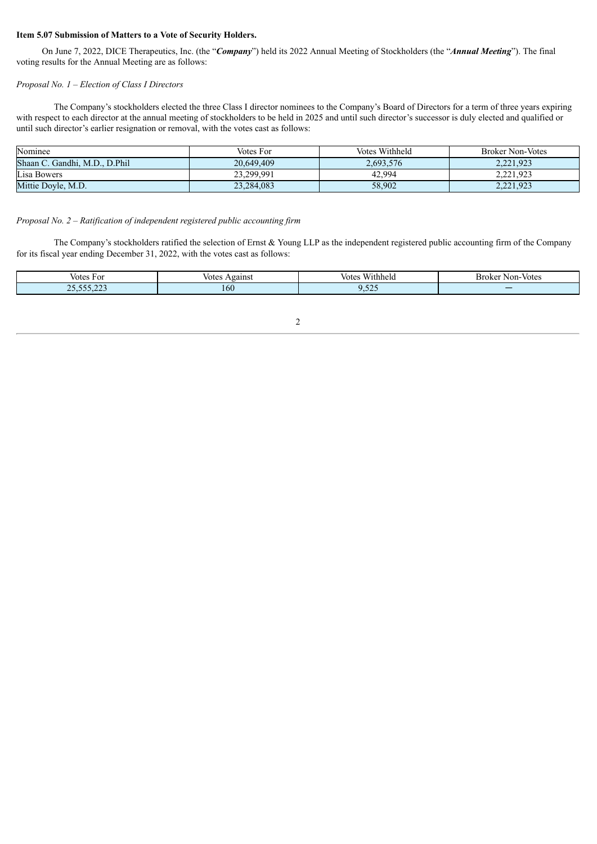#### **Item 5.07 Submission of Matters to a Vote of Security Holders.**

On June 7, 2022, DICE Therapeutics, Inc. (the "*Company*") held its 2022 Annual Meeting of Stockholders (the "*Annual Meeting*"). The final voting results for the Annual Meeting are as follows:

#### *Proposal No. 1 – Election of Class I Directors*

The Company's stockholders elected the three Class I director nominees to the Company's Board of Directors for a term of three years expiring with respect to each director at the annual meeting of stockholders to be held in 2025 and until such director's successor is duly elected and qualified or until such director's earlier resignation or removal, with the votes cast as follows:

| Nominee                       | Votes For  | Votes Withheld | <b>Broker Non-Votes</b> |
|-------------------------------|------------|----------------|-------------------------|
| Shaan C. Gandhi, M.D., D.Phil | 20.649.409 | 2,693,576      | 2.221.923               |
| Lisa Bowers                   | 23,299,991 | 42.994         | 2,221,923               |
| Mittie Doyle, M.D.            | 23,284,083 | 58,902         | 2.221.923               |

#### *Proposal No. 2 – Ratification of independent registered public accounting firm*

The Company's stockholders ratified the selection of Ernst & Young LLP as the independent registered public accounting firm of the Company for its fiscal year ending December 31, 2022, with the votes cast as follows:

| Votes For                                                         | .gains<br>10120<br>. . | vithheid<br>votes             | N <sub>on</sub><br>Non-Votes<br>Broker<br>. |
|-------------------------------------------------------------------|------------------------|-------------------------------|---------------------------------------------|
| $\sim$ $\sim$<br>$- - -$<br>$\sim$ $\sim$<br>$\cdots$<br><u>_</u> | 160                    | $  -$<br>$\sim$ $\sim$ $\sim$ |                                             |

2